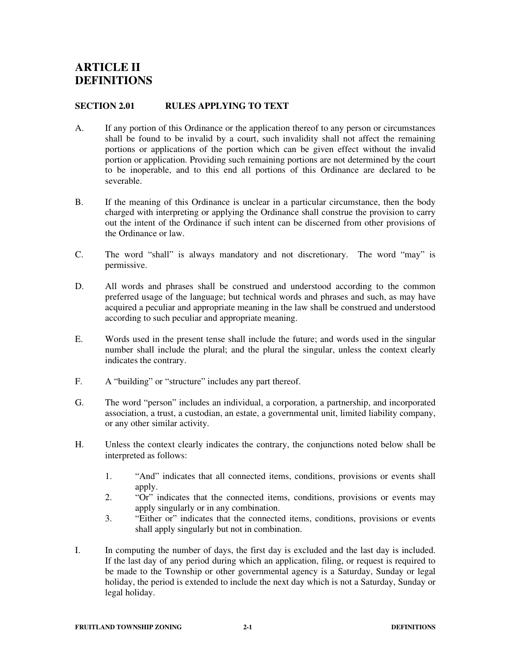# **SECTION 2.01 RULES APPLYING TO TEXT**

- A. If any portion of this Ordinance or the application thereof to any person or circumstances shall be found to be invalid by a court, such invalidity shall not affect the remaining portions or applications of the portion which can be given effect without the invalid portion or application. Providing such remaining portions are not determined by the court to be inoperable, and to this end all portions of this Ordinance are declared to be severable.
- B. If the meaning of this Ordinance is unclear in a particular circumstance, then the body charged with interpreting or applying the Ordinance shall construe the provision to carry out the intent of the Ordinance if such intent can be discerned from other provisions of the Ordinance or law.
- C. The word "shall" is always mandatory and not discretionary. The word "may" is permissive.
- D. All words and phrases shall be construed and understood according to the common preferred usage of the language; but technical words and phrases and such, as may have acquired a peculiar and appropriate meaning in the law shall be construed and understood according to such peculiar and appropriate meaning.
- E. Words used in the present tense shall include the future; and words used in the singular number shall include the plural; and the plural the singular, unless the context clearly indicates the contrary.
- F. A "building" or "structure" includes any part thereof.
- G. The word "person" includes an individual, a corporation, a partnership, and incorporated association, a trust, a custodian, an estate, a governmental unit, limited liability company, or any other similar activity.
- H. Unless the context clearly indicates the contrary, the conjunctions noted below shall be interpreted as follows:
	- 1. "And" indicates that all connected items, conditions, provisions or events shall apply.
	- 2. "Or" indicates that the connected items, conditions, provisions or events may apply singularly or in any combination.
	- 3. "Either or" indicates that the connected items, conditions, provisions or events shall apply singularly but not in combination.
- I. In computing the number of days, the first day is excluded and the last day is included. If the last day of any period during which an application, filing, or request is required to be made to the Township or other governmental agency is a Saturday, Sunday or legal holiday, the period is extended to include the next day which is not a Saturday, Sunday or legal holiday.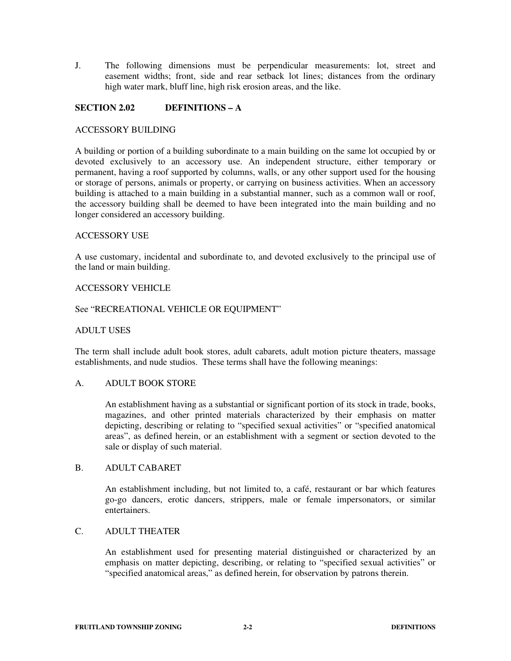J. The following dimensions must be perpendicular measurements: lot, street and easement widths; front, side and rear setback lot lines; distances from the ordinary high water mark, bluff line, high risk erosion areas, and the like.

# **SECTION 2.02 DEFINITIONS – A**

## ACCESSORY BUILDING

A building or portion of a building subordinate to a main building on the same lot occupied by or devoted exclusively to an accessory use. An independent structure, either temporary or permanent, having a roof supported by columns, walls, or any other support used for the housing or storage of persons, animals or property, or carrying on business activities. When an accessory building is attached to a main building in a substantial manner, such as a common wall or roof, the accessory building shall be deemed to have been integrated into the main building and no longer considered an accessory building.

## ACCESSORY USE

A use customary, incidental and subordinate to, and devoted exclusively to the principal use of the land or main building.

## ACCESSORY VEHICLE

## See "RECREATIONAL VEHICLE OR EQUIPMENT"

## ADULT USES

The term shall include adult book stores, adult cabarets, adult motion picture theaters, massage establishments, and nude studios. These terms shall have the following meanings:

## A. ADULT BOOK STORE

An establishment having as a substantial or significant portion of its stock in trade, books, magazines, and other printed materials characterized by their emphasis on matter depicting, describing or relating to "specified sexual activities" or "specified anatomical areas", as defined herein, or an establishment with a segment or section devoted to the sale or display of such material.

## B. ADULT CABARET

An establishment including, but not limited to, a café, restaurant or bar which features go-go dancers, erotic dancers, strippers, male or female impersonators, or similar entertainers.

## C. ADULT THEATER

An establishment used for presenting material distinguished or characterized by an emphasis on matter depicting, describing, or relating to "specified sexual activities" or "specified anatomical areas," as defined herein, for observation by patrons therein.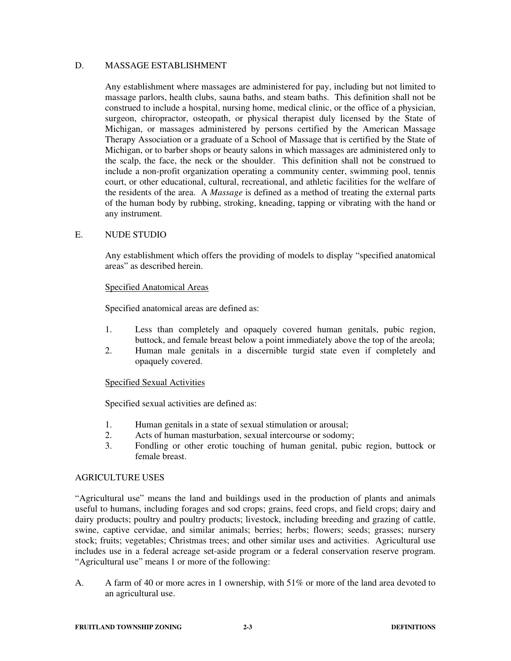## D. MASSAGE ESTABLISHMENT

Any establishment where massages are administered for pay, including but not limited to massage parlors, health clubs, sauna baths, and steam baths. This definition shall not be construed to include a hospital, nursing home, medical clinic, or the office of a physician, surgeon, chiropractor, osteopath, or physical therapist duly licensed by the State of Michigan, or massages administered by persons certified by the American Massage Therapy Association or a graduate of a School of Massage that is certified by the State of Michigan, or to barber shops or beauty salons in which massages are administered only to the scalp, the face, the neck or the shoulder. This definition shall not be construed to include a non-profit organization operating a community center, swimming pool, tennis court, or other educational, cultural, recreational, and athletic facilities for the welfare of the residents of the area. A *Massage* is defined as a method of treating the external parts of the human body by rubbing, stroking, kneading, tapping or vibrating with the hand or any instrument.

# E. NUDE STUDIO

Any establishment which offers the providing of models to display "specified anatomical areas" as described herein.

## Specified Anatomical Areas

Specified anatomical areas are defined as:

- 1. Less than completely and opaquely covered human genitals, pubic region, buttock, and female breast below a point immediately above the top of the areola;
- 2. Human male genitals in a discernible turgid state even if completely and opaquely covered.

## Specified Sexual Activities

Specified sexual activities are defined as:

- 1. Human genitals in a state of sexual stimulation or arousal;
- 2. Acts of human masturbation, sexual intercourse or sodomy;
- 3. Fondling or other erotic touching of human genital, pubic region, buttock or female breast.

## AGRICULTURE USES

"Agricultural use" means the land and buildings used in the production of plants and animals useful to humans, including forages and sod crops; grains, feed crops, and field crops; dairy and dairy products; poultry and poultry products; livestock, including breeding and grazing of cattle, swine, captive cervidae, and similar animals; berries; herbs; flowers; seeds; grasses; nursery stock; fruits; vegetables; Christmas trees; and other similar uses and activities. Agricultural use includes use in a federal acreage set-aside program or a federal conservation reserve program. "Agricultural use" means 1 or more of the following:

A. A farm of 40 or more acres in 1 ownership, with 51% or more of the land area devoted to an agricultural use.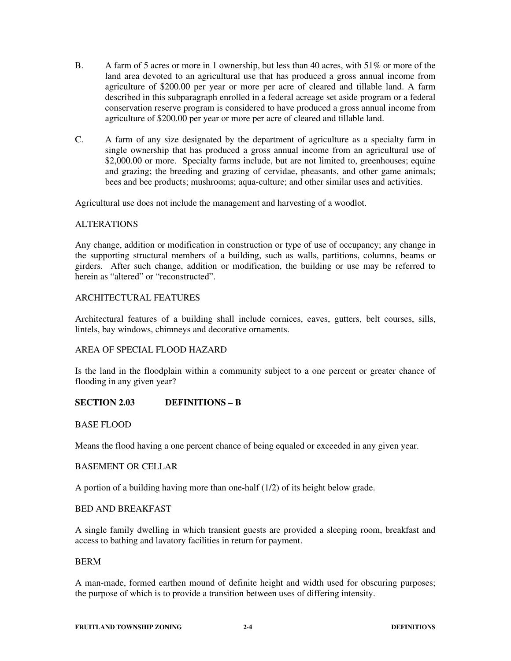- B. A farm of 5 acres or more in 1 ownership, but less than 40 acres, with 51% or more of the land area devoted to an agricultural use that has produced a gross annual income from agriculture of \$200.00 per year or more per acre of cleared and tillable land. A farm described in this subparagraph enrolled in a federal acreage set aside program or a federal conservation reserve program is considered to have produced a gross annual income from agriculture of \$200.00 per year or more per acre of cleared and tillable land.
- C. A farm of any size designated by the department of agriculture as a specialty farm in single ownership that has produced a gross annual income from an agricultural use of \$2,000.00 or more. Specialty farms include, but are not limited to, greenhouses; equine and grazing; the breeding and grazing of cervidae, pheasants, and other game animals; bees and bee products; mushrooms; aqua-culture; and other similar uses and activities.

Agricultural use does not include the management and harvesting of a woodlot.

## ALTERATIONS

Any change, addition or modification in construction or type of use of occupancy; any change in the supporting structural members of a building, such as walls, partitions, columns, beams or girders. After such change, addition or modification, the building or use may be referred to herein as "altered" or "reconstructed".

# ARCHITECTURAL FEATURES

Architectural features of a building shall include cornices, eaves, gutters, belt courses, sills, lintels, bay windows, chimneys and decorative ornaments.

# AREA OF SPECIAL FLOOD HAZARD

Is the land in the floodplain within a community subject to a one percent or greater chance of flooding in any given year?

# **SECTION 2.03 DEFINITIONS – B**

## BASE FLOOD

Means the flood having a one percent chance of being equaled or exceeded in any given year.

## BASEMENT OR CELLAR

A portion of a building having more than one-half (1/2) of its height below grade.

## BED AND BREAKFAST

A single family dwelling in which transient guests are provided a sleeping room, breakfast and access to bathing and lavatory facilities in return for payment.

## BERM

A man-made, formed earthen mound of definite height and width used for obscuring purposes; the purpose of which is to provide a transition between uses of differing intensity.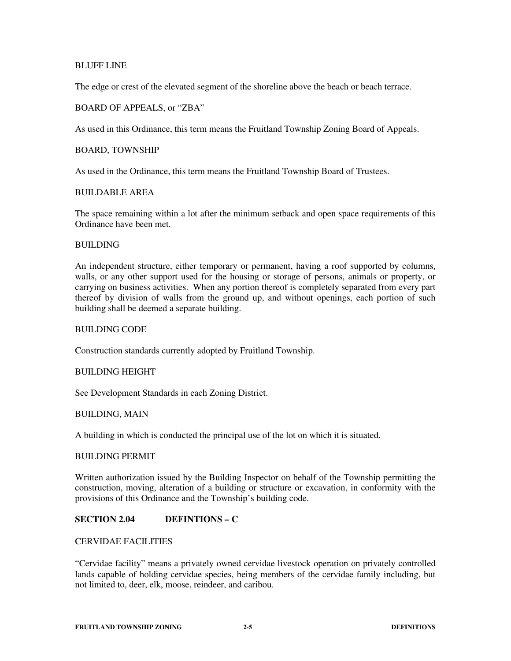## BLUFF LINE

The edge or crest of the elevated segment of the shoreline above the beach or beach terrace.

## BOARD OF APPEALS, or "ZBA"

As used in this Ordinance, this term means the Fruitland Township Zoning Board of Appeals.

#### BOARD, TOWNSHIP

As used in the Ordinance, this term means the Fruitland Township Board of Trustees.

## BUILDABLE AREA

The space remaining within a lot after the minimum setback and open space requirements of this Ordinance have been met.

#### BUILDING

An independent structure, either temporary or permanent, having a roof supported by columns, walls, or any other support used for the housing or storage of persons, animals or property, or carrying on business activities. When any portion thereof is completely separated from every part thereof by division of walls from the ground up, and without openings, each portion of such building shall be deemed a separate building.

#### BUILDING CODE

Construction standards currently adopted by Fruitland Township.

## BUILDING HEIGHT

See Development Standards in each Zoning District.

## BUILDING, MAIN

A building in which is conducted the principal use of the lot on which it is situated.

#### BUILDING PERMIT

Written authorization issued by the Building Inspector on behalf of the Township permitting the construction, moving, alteration of a building or structure or excavation, in conformity with the provisions of this Ordinance and the Township's building code.

# **SECTION 2.04 DEFINTIONS – C**

# CERVIDAE FACILITIES

"Cervidae facility" means a privately owned cervidae livestock operation on privately controlled lands capable of holding cervidae species, being members of the cervidae family including, but not limited to, deer, elk, moose, reindeer, and caribou.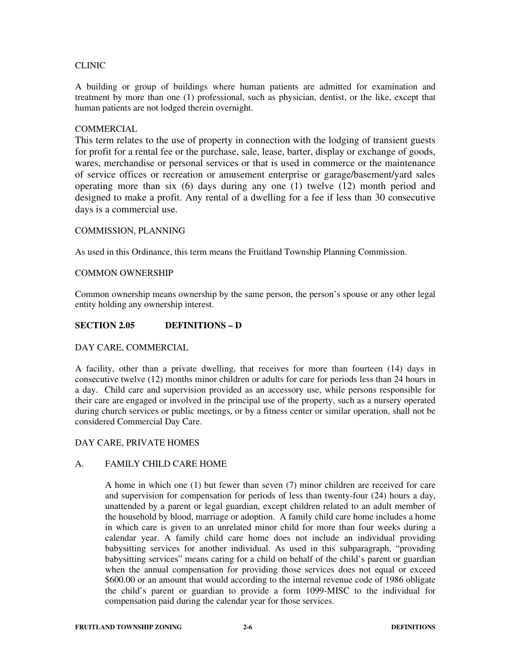## CLINIC

A building or group of buildings where human patients are admitted for examination and treatment by more than one (1) professional, such as physician, dentist, or the like, except that human patients are not lodged therein overnight.

# COMMERCIAL

This term relates to the use of property in connection with the lodging of transient guests for profit for a rental fee or the purchase, sale, lease, barter, display or exchange of goods, wares, merchandise or personal services or that is used in commerce or the maintenance of service offices or recreation or amusement enterprise or garage/basement/yard sales operating more than six (6) days during any one (1) twelve (12) month period and designed to make a profit. Any rental of a dwelling for a fee if less than 30 consecutive days is a commercial use.

## COMMISSION, PLANNING

As used in this Ordinance, this term means the Fruitland Township Planning Commission.

## COMMON OWNERSHIP

Common ownership means ownership by the same person, the person's spouse or any other legal entity holding any ownership interest.

## **SECTION 2.05 DEFINITIONS – D**

## DAY CARE, COMMERCIAL

A facility, other than a private dwelling, that receives for more than fourteen (14) days in consecutive twelve (12) months minor children or adults for care for periods less than 24 hours in a day. Child care and supervision provided as an accessory use, while persons responsible for their care are engaged or involved in the principal use of the property, such as a nursery operated during church services or public meetings, or by a fitness center or similar operation, shall not be considered Commercial Day Care.

## DAY CARE, PRIVATE HOMES

# A. FAMILY CHILD CARE HOME

A home in which one (1) but fewer than seven (7) minor children are received for care and supervision for compensation for periods of less than twenty-four (24) hours a day, unattended by a parent or legal guardian, except children related to an adult member of the household by blood, marriage or adoption. A family child care home includes a home in which care is given to an unrelated minor child for more than four weeks during a calendar year. A family child care home does not include an individual providing babysitting services for another individual. As used in this subparagraph, "providing babysitting services" means caring for a child on behalf of the child's parent or guardian when the annual compensation for providing those services does not equal or exceed \$600.00 or an amount that would according to the internal revenue code of 1986 obligate the child's parent or guardian to provide a form 1099-MISC to the individual for compensation paid during the calendar year for those services.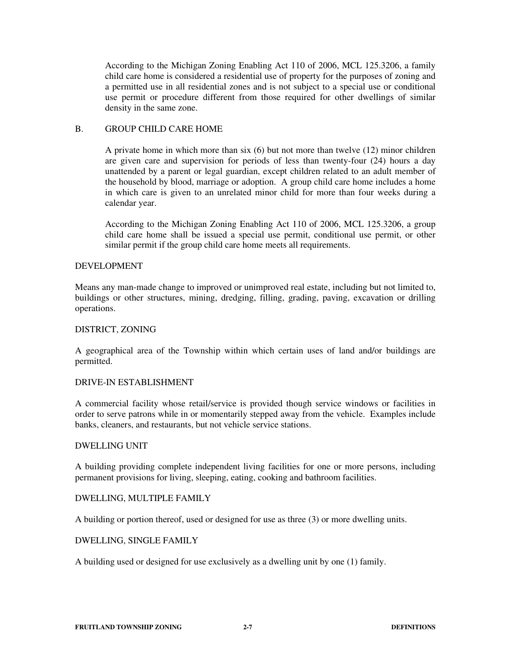According to the Michigan Zoning Enabling Act 110 of 2006, MCL 125.3206, a family child care home is considered a residential use of property for the purposes of zoning and a permitted use in all residential zones and is not subject to a special use or conditional use permit or procedure different from those required for other dwellings of similar density in the same zone.

## B. GROUP CHILD CARE HOME

A private home in which more than six (6) but not more than twelve (12) minor children are given care and supervision for periods of less than twenty-four (24) hours a day unattended by a parent or legal guardian, except children related to an adult member of the household by blood, marriage or adoption. A group child care home includes a home in which care is given to an unrelated minor child for more than four weeks during a calendar year.

According to the Michigan Zoning Enabling Act 110 of 2006, MCL 125.3206, a group child care home shall be issued a special use permit, conditional use permit, or other similar permit if the group child care home meets all requirements.

## DEVELOPMENT

Means any man-made change to improved or unimproved real estate, including but not limited to, buildings or other structures, mining, dredging, filling, grading, paving, excavation or drilling operations.

## DISTRICT, ZONING

A geographical area of the Township within which certain uses of land and/or buildings are permitted.

## DRIVE-IN ESTABLISHMENT

A commercial facility whose retail/service is provided though service windows or facilities in order to serve patrons while in or momentarily stepped away from the vehicle. Examples include banks, cleaners, and restaurants, but not vehicle service stations.

## DWELLING UNIT

A building providing complete independent living facilities for one or more persons, including permanent provisions for living, sleeping, eating, cooking and bathroom facilities.

## DWELLING, MULTIPLE FAMILY

A building or portion thereof, used or designed for use as three (3) or more dwelling units.

## DWELLING, SINGLE FAMILY

A building used or designed for use exclusively as a dwelling unit by one (1) family.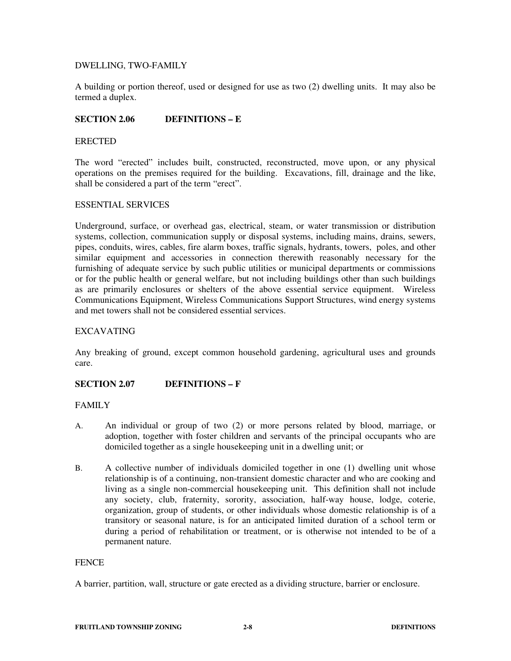# DWELLING, TWO-FAMILY

A building or portion thereof, used or designed for use as two (2) dwelling units. It may also be termed a duplex.

# **SECTION 2.06 DEFINITIONS – E**

#### ERECTED

The word "erected" includes built, constructed, reconstructed, move upon, or any physical operations on the premises required for the building. Excavations, fill, drainage and the like, shall be considered a part of the term "erect".

## ESSENTIAL SERVICES

Underground, surface, or overhead gas, electrical, steam, or water transmission or distribution systems, collection, communication supply or disposal systems, including mains, drains, sewers, pipes, conduits, wires, cables, fire alarm boxes, traffic signals, hydrants, towers, poles, and other similar equipment and accessories in connection therewith reasonably necessary for the furnishing of adequate service by such public utilities or municipal departments or commissions or for the public health or general welfare, but not including buildings other than such buildings as are primarily enclosures or shelters of the above essential service equipment. Wireless Communications Equipment, Wireless Communications Support Structures, wind energy systems and met towers shall not be considered essential services.

## EXCAVATING

Any breaking of ground, except common household gardening, agricultural uses and grounds care.

## **SECTION 2.07 DEFINITIONS – F**

## FAMILY

- A. An individual or group of two (2) or more persons related by blood, marriage, or adoption, together with foster children and servants of the principal occupants who are domiciled together as a single housekeeping unit in a dwelling unit; or
- B. A collective number of individuals domiciled together in one (1) dwelling unit whose relationship is of a continuing, non-transient domestic character and who are cooking and living as a single non-commercial housekeeping unit. This definition shall not include any society, club, fraternity, sorority, association, half-way house, lodge, coterie, organization, group of students, or other individuals whose domestic relationship is of a transitory or seasonal nature, is for an anticipated limited duration of a school term or during a period of rehabilitation or treatment, or is otherwise not intended to be of a permanent nature.

## **FENCE**

A barrier, partition, wall, structure or gate erected as a dividing structure, barrier or enclosure.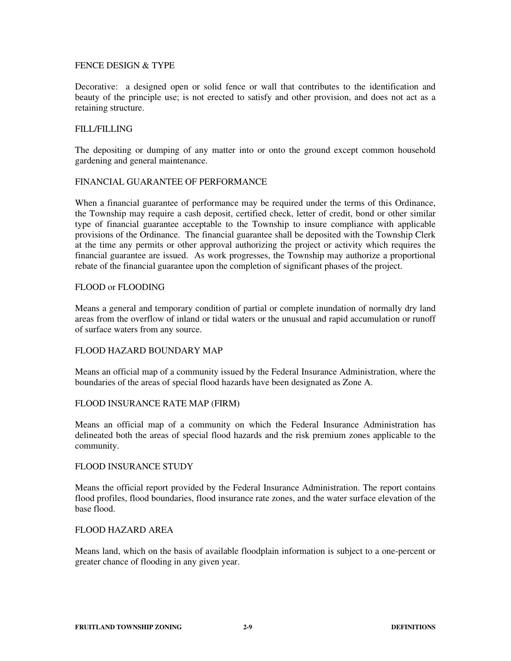## FENCE DESIGN & TYPE

Decorative: a designed open or solid fence or wall that contributes to the identification and beauty of the principle use; is not erected to satisfy and other provision, and does not act as a retaining structure.

# FILL/FILLING

The depositing or dumping of any matter into or onto the ground except common household gardening and general maintenance.

## FINANCIAL GUARANTEE OF PERFORMANCE

When a financial guarantee of performance may be required under the terms of this Ordinance, the Township may require a cash deposit, certified check, letter of credit, bond or other similar type of financial guarantee acceptable to the Township to insure compliance with applicable provisions of the Ordinance. The financial guarantee shall be deposited with the Township Clerk at the time any permits or other approval authorizing the project or activity which requires the financial guarantee are issued. As work progresses, the Township may authorize a proportional rebate of the financial guarantee upon the completion of significant phases of the project.

## FLOOD or FLOODING

Means a general and temporary condition of partial or complete inundation of normally dry land areas from the overflow of inland or tidal waters or the unusual and rapid accumulation or runoff of surface waters from any source.

## FLOOD HAZARD BOUNDARY MAP

Means an official map of a community issued by the Federal Insurance Administration, where the boundaries of the areas of special flood hazards have been designated as Zone A.

## FLOOD INSURANCE RATE MAP (FIRM)

Means an official map of a community on which the Federal Insurance Administration has delineated both the areas of special flood hazards and the risk premium zones applicable to the community.

## FLOOD INSURANCE STUDY

Means the official report provided by the Federal Insurance Administration. The report contains flood profiles, flood boundaries, flood insurance rate zones, and the water surface elevation of the base flood.

## FLOOD HAZARD AREA

Means land, which on the basis of available floodplain information is subject to a one-percent or greater chance of flooding in any given year.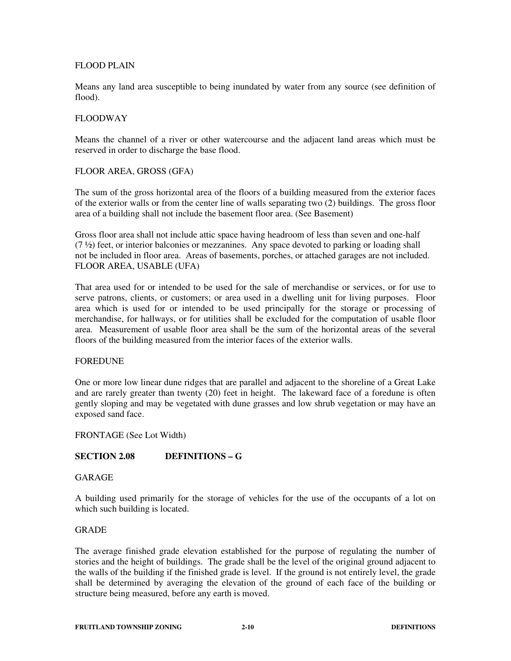## FLOOD PLAIN

Means any land area susceptible to being inundated by water from any source (see definition of flood).

## FLOODWAY

Means the channel of a river or other watercourse and the adjacent land areas which must be reserved in order to discharge the base flood.

## FLOOR AREA, GROSS (GFA)

The sum of the gross horizontal area of the floors of a building measured from the exterior faces of the exterior walls or from the center line of walls separating two (2) buildings. The gross floor area of a building shall not include the basement floor area. (See Basement)

Gross floor area shall not include attic space having headroom of less than seven and one-half  $(7 \frac{1}{2})$  feet, or interior balconies or mezzanines. Any space devoted to parking or loading shall not be included in floor area. Areas of basements, porches, or attached garages are not included. FLOOR AREA, USABLE (UFA)

That area used for or intended to be used for the sale of merchandise or services, or for use to serve patrons, clients, or customers; or area used in a dwelling unit for living purposes. Floor area which is used for or intended to be used principally for the storage or processing of merchandise, for hallways, or for utilities shall be excluded for the computation of usable floor area. Measurement of usable floor area shall be the sum of the horizontal areas of the several floors of the building measured from the interior faces of the exterior walls.

## **FOREDUNE**

One or more low linear dune ridges that are parallel and adjacent to the shoreline of a Great Lake and are rarely greater than twenty (20) feet in height. The lakeward face of a foredune is often gently sloping and may be vegetated with dune grasses and low shrub vegetation or may have an exposed sand face.

## FRONTAGE (See Lot Width)

# **SECTION 2.08 DEFINITIONS – G**

# GARAGE

A building used primarily for the storage of vehicles for the use of the occupants of a lot on which such building is located.

## GRADE

The average finished grade elevation established for the purpose of regulating the number of stories and the height of buildings. The grade shall be the level of the original ground adjacent to the walls of the building if the finished grade is level. If the ground is not entirely level, the grade shall be determined by averaging the elevation of the ground of each face of the building or structure being measured, before any earth is moved.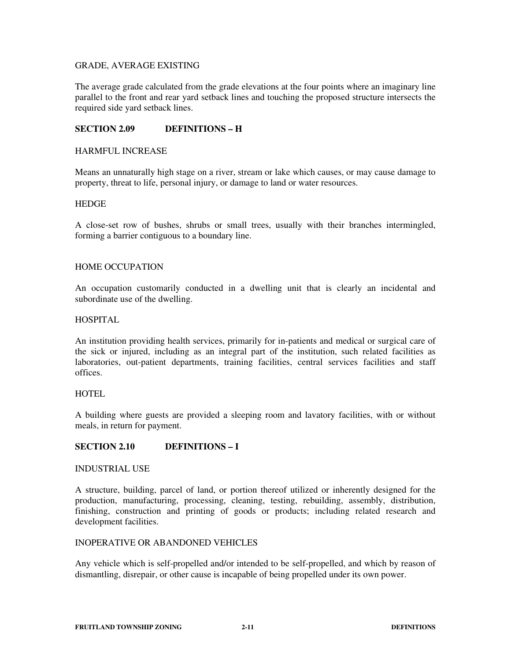# GRADE, AVERAGE EXISTING

The average grade calculated from the grade elevations at the four points where an imaginary line parallel to the front and rear yard setback lines and touching the proposed structure intersects the required side yard setback lines.

# **SECTION 2.09 DEFINITIONS – H**

## HARMFUL INCREASE

Means an unnaturally high stage on a river, stream or lake which causes, or may cause damage to property, threat to life, personal injury, or damage to land or water resources.

#### **HEDGE**

A close-set row of bushes, shrubs or small trees, usually with their branches intermingled, forming a barrier contiguous to a boundary line.

## HOME OCCUPATION

An occupation customarily conducted in a dwelling unit that is clearly an incidental and subordinate use of the dwelling.

#### HOSPITAL

An institution providing health services, primarily for in-patients and medical or surgical care of the sick or injured, including as an integral part of the institution, such related facilities as laboratories, out-patient departments, training facilities, central services facilities and staff offices.

## **HOTEL**

A building where guests are provided a sleeping room and lavatory facilities, with or without meals, in return for payment.

## **SECTION 2.10 DEFINITIONS – I**

## INDUSTRIAL USE

A structure, building, parcel of land, or portion thereof utilized or inherently designed for the production, manufacturing, processing, cleaning, testing, rebuilding, assembly, distribution, finishing, construction and printing of goods or products; including related research and development facilities.

## INOPERATIVE OR ABANDONED VEHICLES

Any vehicle which is self-propelled and/or intended to be self-propelled, and which by reason of dismantling, disrepair, or other cause is incapable of being propelled under its own power.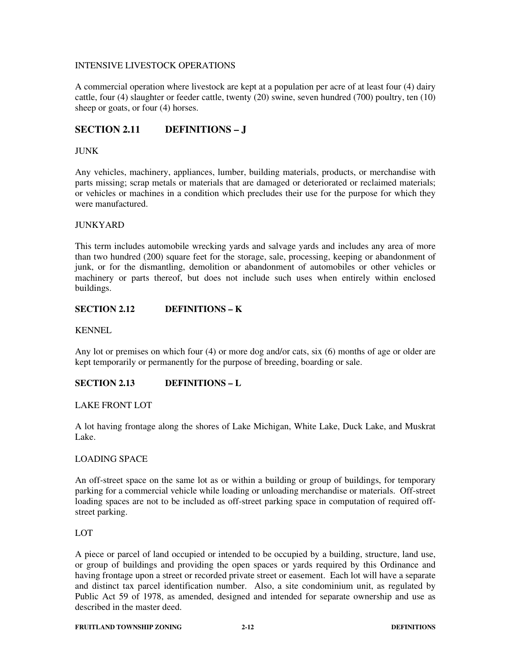## INTENSIVE LIVESTOCK OPERATIONS

A commercial operation where livestock are kept at a population per acre of at least four (4) dairy cattle, four (4) slaughter or feeder cattle, twenty (20) swine, seven hundred (700) poultry, ten (10) sheep or goats, or four  $(4)$  horses.

# **SECTION 2.11 DEFINITIONS – J**

# JUNK

Any vehicles, machinery, appliances, lumber, building materials, products, or merchandise with parts missing; scrap metals or materials that are damaged or deteriorated or reclaimed materials; or vehicles or machines in a condition which precludes their use for the purpose for which they were manufactured.

## JUNKYARD

This term includes automobile wrecking yards and salvage yards and includes any area of more than two hundred (200) square feet for the storage, sale, processing, keeping or abandonment of junk, or for the dismantling, demolition or abandonment of automobiles or other vehicles or machinery or parts thereof, but does not include such uses when entirely within enclosed buildings.

# **SECTION 2.12 DEFINITIONS – K**

KENNEL

Any lot or premises on which four (4) or more dog and/or cats, six (6) months of age or older are kept temporarily or permanently for the purpose of breeding, boarding or sale.

# **SECTION 2.13 DEFINITIONS – L**

## LAKE FRONT LOT

A lot having frontage along the shores of Lake Michigan, White Lake, Duck Lake, and Muskrat Lake.

## LOADING SPACE

An off-street space on the same lot as or within a building or group of buildings, for temporary parking for a commercial vehicle while loading or unloading merchandise or materials. Off-street loading spaces are not to be included as off-street parking space in computation of required offstreet parking.

## LOT

A piece or parcel of land occupied or intended to be occupied by a building, structure, land use, or group of buildings and providing the open spaces or yards required by this Ordinance and having frontage upon a street or recorded private street or easement. Each lot will have a separate and distinct tax parcel identification number. Also, a site condominium unit, as regulated by Public Act 59 of 1978, as amended, designed and intended for separate ownership and use as described in the master deed.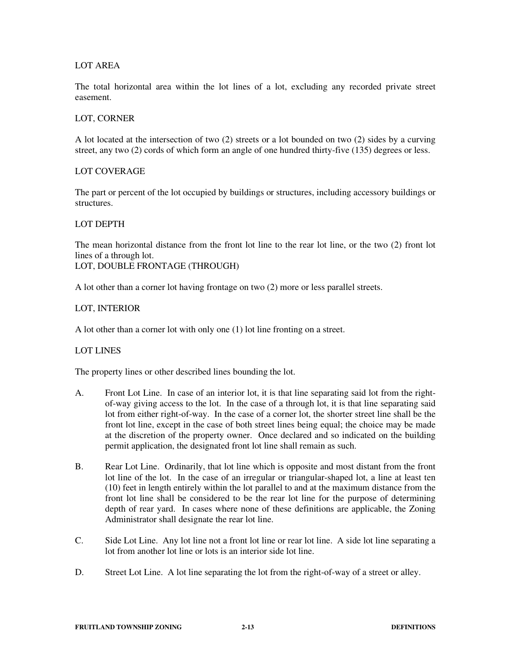## LOT AREA

The total horizontal area within the lot lines of a lot, excluding any recorded private street easement.

## LOT, CORNER

A lot located at the intersection of two (2) streets or a lot bounded on two (2) sides by a curving street, any two (2) cords of which form an angle of one hundred thirty-five (135) degrees or less.

## LOT COVERAGE

The part or percent of the lot occupied by buildings or structures, including accessory buildings or structures.

## LOT DEPTH

The mean horizontal distance from the front lot line to the rear lot line, or the two (2) front lot lines of a through lot.

LOT, DOUBLE FRONTAGE (THROUGH)

A lot other than a corner lot having frontage on two (2) more or less parallel streets.

## LOT, INTERIOR

A lot other than a corner lot with only one (1) lot line fronting on a street.

## LOT LINES

The property lines or other described lines bounding the lot.

- A. Front Lot Line. In case of an interior lot, it is that line separating said lot from the rightof-way giving access to the lot. In the case of a through lot, it is that line separating said lot from either right-of-way. In the case of a corner lot, the shorter street line shall be the front lot line, except in the case of both street lines being equal; the choice may be made at the discretion of the property owner. Once declared and so indicated on the building permit application, the designated front lot line shall remain as such.
- B. Rear Lot Line. Ordinarily, that lot line which is opposite and most distant from the front lot line of the lot. In the case of an irregular or triangular-shaped lot, a line at least ten (10) feet in length entirely within the lot parallel to and at the maximum distance from the front lot line shall be considered to be the rear lot line for the purpose of determining depth of rear yard. In cases where none of these definitions are applicable, the Zoning Administrator shall designate the rear lot line.
- C. Side Lot Line. Any lot line not a front lot line or rear lot line. A side lot line separating a lot from another lot line or lots is an interior side lot line.
- D. Street Lot Line. A lot line separating the lot from the right-of-way of a street or alley.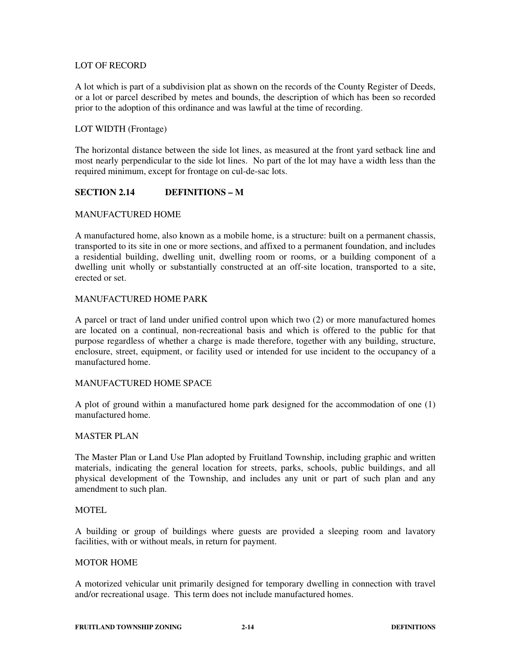# LOT OF RECORD

A lot which is part of a subdivision plat as shown on the records of the County Register of Deeds, or a lot or parcel described by metes and bounds, the description of which has been so recorded prior to the adoption of this ordinance and was lawful at the time of recording.

# LOT WIDTH (Frontage)

The horizontal distance between the side lot lines, as measured at the front yard setback line and most nearly perpendicular to the side lot lines. No part of the lot may have a width less than the required minimum, except for frontage on cul-de-sac lots.

# **SECTION 2.14 DEFINITIONS – M**

## MANUFACTURED HOME

A manufactured home, also known as a mobile home, is a structure: built on a permanent chassis, transported to its site in one or more sections, and affixed to a permanent foundation, and includes a residential building, dwelling unit, dwelling room or rooms, or a building component of a dwelling unit wholly or substantially constructed at an off-site location, transported to a site, erected or set.

# MANUFACTURED HOME PARK

A parcel or tract of land under unified control upon which two (2) or more manufactured homes are located on a continual, non-recreational basis and which is offered to the public for that purpose regardless of whether a charge is made therefore, together with any building, structure, enclosure, street, equipment, or facility used or intended for use incident to the occupancy of a manufactured home.

## MANUFACTURED HOME SPACE

A plot of ground within a manufactured home park designed for the accommodation of one (1) manufactured home.

## MASTER PLAN

The Master Plan or Land Use Plan adopted by Fruitland Township, including graphic and written materials, indicating the general location for streets, parks, schools, public buildings, and all physical development of the Township, and includes any unit or part of such plan and any amendment to such plan.

## MOTEL

A building or group of buildings where guests are provided a sleeping room and lavatory facilities, with or without meals, in return for payment.

## MOTOR HOME

A motorized vehicular unit primarily designed for temporary dwelling in connection with travel and/or recreational usage. This term does not include manufactured homes.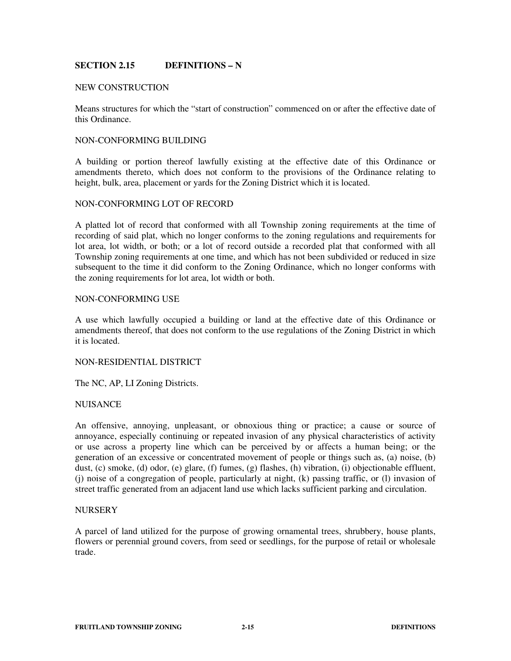# **SECTION 2.15 DEFINITIONS – N**

## NEW CONSTRUCTION

Means structures for which the "start of construction" commenced on or after the effective date of this Ordinance.

## NON-CONFORMING BUILDING

A building or portion thereof lawfully existing at the effective date of this Ordinance or amendments thereto, which does not conform to the provisions of the Ordinance relating to height, bulk, area, placement or yards for the Zoning District which it is located.

#### NON-CONFORMING LOT OF RECORD

A platted lot of record that conformed with all Township zoning requirements at the time of recording of said plat, which no longer conforms to the zoning regulations and requirements for lot area, lot width, or both; or a lot of record outside a recorded plat that conformed with all Township zoning requirements at one time, and which has not been subdivided or reduced in size subsequent to the time it did conform to the Zoning Ordinance, which no longer conforms with the zoning requirements for lot area, lot width or both.

## NON-CONFORMING USE

A use which lawfully occupied a building or land at the effective date of this Ordinance or amendments thereof, that does not conform to the use regulations of the Zoning District in which it is located.

#### NON-RESIDENTIAL DISTRICT

The NC, AP, LI Zoning Districts.

## **NUISANCE**

An offensive, annoying, unpleasant, or obnoxious thing or practice; a cause or source of annoyance, especially continuing or repeated invasion of any physical characteristics of activity or use across a property line which can be perceived by or affects a human being; or the generation of an excessive or concentrated movement of people or things such as, (a) noise, (b) dust, (c) smoke, (d) odor, (e) glare, (f) fumes, (g) flashes, (h) vibration, (i) objectionable effluent, (j) noise of a congregation of people, particularly at night, (k) passing traffic, or (l) invasion of street traffic generated from an adjacent land use which lacks sufficient parking and circulation.

## **NURSERY**

A parcel of land utilized for the purpose of growing ornamental trees, shrubbery, house plants, flowers or perennial ground covers, from seed or seedlings, for the purpose of retail or wholesale trade.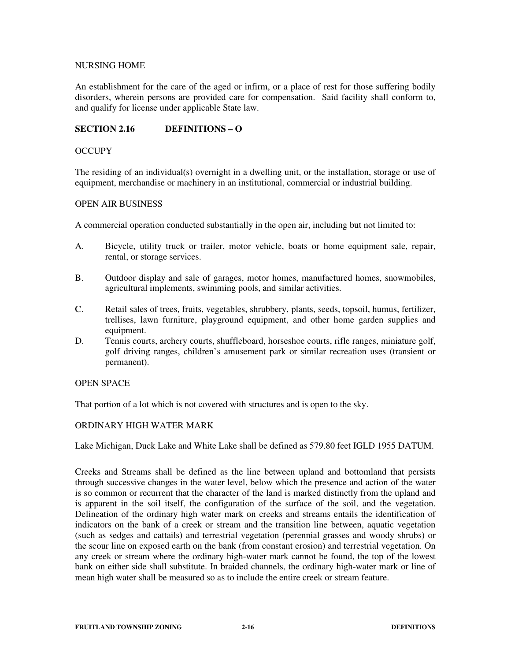## NURSING HOME

An establishment for the care of the aged or infirm, or a place of rest for those suffering bodily disorders, wherein persons are provided care for compensation. Said facility shall conform to, and qualify for license under applicable State law.

# **SECTION 2.16 DEFINITIONS – O**

## **OCCUPY**

The residing of an individual(s) overnight in a dwelling unit, or the installation, storage or use of equipment, merchandise or machinery in an institutional, commercial or industrial building.

## OPEN AIR BUSINESS

A commercial operation conducted substantially in the open air, including but not limited to:

- A. Bicycle, utility truck or trailer, motor vehicle, boats or home equipment sale, repair, rental, or storage services.
- B. Outdoor display and sale of garages, motor homes, manufactured homes, snowmobiles, agricultural implements, swimming pools, and similar activities.
- C. Retail sales of trees, fruits, vegetables, shrubbery, plants, seeds, topsoil, humus, fertilizer, trellises, lawn furniture, playground equipment, and other home garden supplies and equipment.
- D. Tennis courts, archery courts, shuffleboard, horseshoe courts, rifle ranges, miniature golf, golf driving ranges, children's amusement park or similar recreation uses (transient or permanent).

# OPEN SPACE

That portion of a lot which is not covered with structures and is open to the sky.

# ORDINARY HIGH WATER MARK

Lake Michigan, Duck Lake and White Lake shall be defined as 579.80 feet IGLD 1955 DATUM.

Creeks and Streams shall be defined as the line between upland and bottomland that persists through successive changes in the water level, below which the presence and action of the water is so common or recurrent that the character of the land is marked distinctly from the upland and is apparent in the soil itself, the configuration of the surface of the soil, and the vegetation. Delineation of the ordinary high water mark on creeks and streams entails the identification of indicators on the bank of a creek or stream and the transition line between, aquatic vegetation (such as sedges and cattails) and terrestrial vegetation (perennial grasses and woody shrubs) or the scour line on exposed earth on the bank (from constant erosion) and terrestrial vegetation. On any creek or stream where the ordinary high-water mark cannot be found, the top of the lowest bank on either side shall substitute. In braided channels, the ordinary high-water mark or line of mean high water shall be measured so as to include the entire creek or stream feature.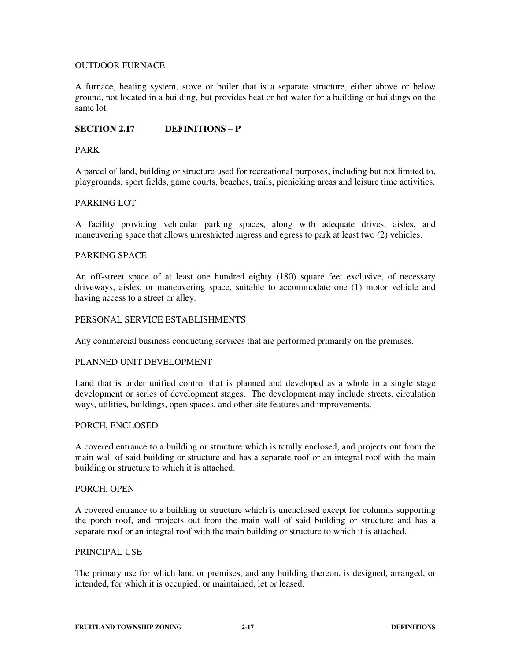# OUTDOOR FURNACE

A furnace, heating system, stove or boiler that is a separate structure, either above or below ground, not located in a building, but provides heat or hot water for a building or buildings on the same lot.

# **SECTION 2.17 DEFINITIONS – P**

## PARK

A parcel of land, building or structure used for recreational purposes, including but not limited to, playgrounds, sport fields, game courts, beaches, trails, picnicking areas and leisure time activities.

## PARKING LOT

A facility providing vehicular parking spaces, along with adequate drives, aisles, and maneuvering space that allows unrestricted ingress and egress to park at least two (2) vehicles.

# PARKING SPACE

An off-street space of at least one hundred eighty (180) square feet exclusive, of necessary driveways, aisles, or maneuvering space, suitable to accommodate one (1) motor vehicle and having access to a street or alley.

## PERSONAL SERVICE ESTABLISHMENTS

Any commercial business conducting services that are performed primarily on the premises.

## PLANNED UNIT DEVELOPMENT

Land that is under unified control that is planned and developed as a whole in a single stage development or series of development stages. The development may include streets, circulation ways, utilities, buildings, open spaces, and other site features and improvements.

## PORCH, ENCLOSED

A covered entrance to a building or structure which is totally enclosed, and projects out from the main wall of said building or structure and has a separate roof or an integral roof with the main building or structure to which it is attached.

## PORCH, OPEN

A covered entrance to a building or structure which is unenclosed except for columns supporting the porch roof, and projects out from the main wall of said building or structure and has a separate roof or an integral roof with the main building or structure to which it is attached.

## PRINCIPAL USE

The primary use for which land or premises, and any building thereon, is designed, arranged, or intended, for which it is occupied, or maintained, let or leased.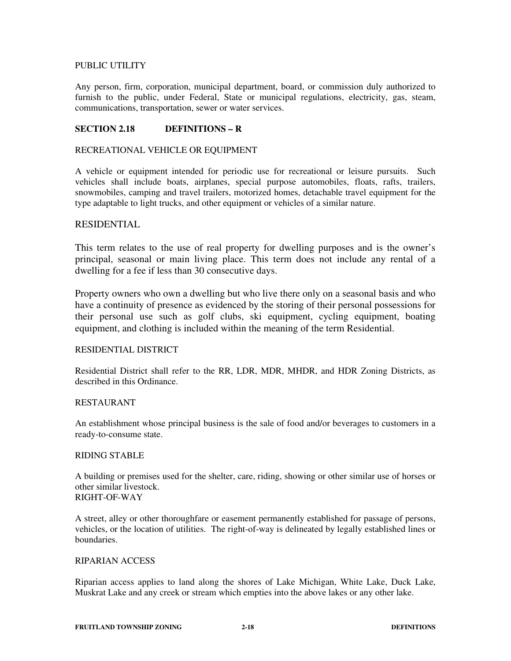# PUBLIC UTILITY

Any person, firm, corporation, municipal department, board, or commission duly authorized to furnish to the public, under Federal, State or municipal regulations, electricity, gas, steam, communications, transportation, sewer or water services.

# **SECTION 2.18 DEFINITIONS – R**

## RECREATIONAL VEHICLE OR EQUIPMENT

A vehicle or equipment intended for periodic use for recreational or leisure pursuits. Such vehicles shall include boats, airplanes, special purpose automobiles, floats, rafts, trailers, snowmobiles, camping and travel trailers, motorized homes, detachable travel equipment for the type adaptable to light trucks, and other equipment or vehicles of a similar nature.

## RESIDENTIAL

This term relates to the use of real property for dwelling purposes and is the owner's principal, seasonal or main living place. This term does not include any rental of a dwelling for a fee if less than 30 consecutive days.

Property owners who own a dwelling but who live there only on a seasonal basis and who have a continuity of presence as evidenced by the storing of their personal possessions for their personal use such as golf clubs, ski equipment, cycling equipment, boating equipment, and clothing is included within the meaning of the term Residential.

## RESIDENTIAL DISTRICT

Residential District shall refer to the RR, LDR, MDR, MHDR, and HDR Zoning Districts, as described in this Ordinance.

## RESTAURANT

An establishment whose principal business is the sale of food and/or beverages to customers in a ready-to-consume state.

## RIDING STABLE

A building or premises used for the shelter, care, riding, showing or other similar use of horses or other similar livestock. RIGHT-OF-WAY

A street, alley or other thoroughfare or easement permanently established for passage of persons, vehicles, or the location of utilities. The right-of-way is delineated by legally established lines or boundaries.

# RIPARIAN ACCESS

Riparian access applies to land along the shores of Lake Michigan, White Lake, Duck Lake, Muskrat Lake and any creek or stream which empties into the above lakes or any other lake.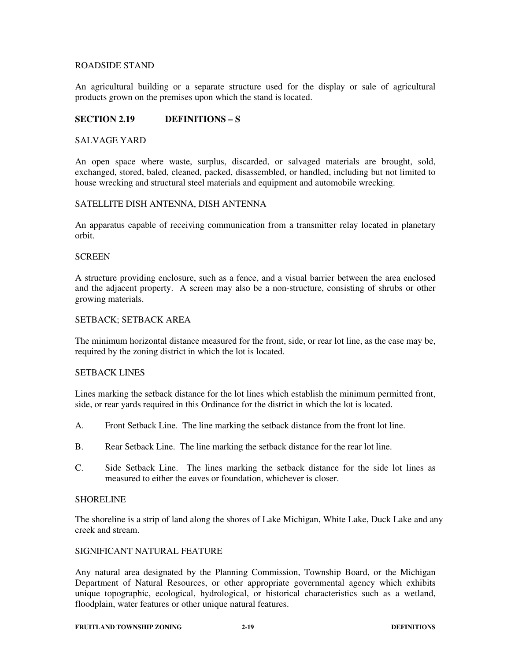## ROADSIDE STAND

An agricultural building or a separate structure used for the display or sale of agricultural products grown on the premises upon which the stand is located.

# **SECTION 2.19 DEFINITIONS – S**

## SALVAGE YARD

An open space where waste, surplus, discarded, or salvaged materials are brought, sold, exchanged, stored, baled, cleaned, packed, disassembled, or handled, including but not limited to house wrecking and structural steel materials and equipment and automobile wrecking.

## SATELLITE DISH ANTENNA, DISH ANTENNA

An apparatus capable of receiving communication from a transmitter relay located in planetary orbit.

## **SCREEN**

A structure providing enclosure, such as a fence, and a visual barrier between the area enclosed and the adjacent property. A screen may also be a non-structure, consisting of shrubs or other growing materials.

## SETBACK; SETBACK AREA

The minimum horizontal distance measured for the front, side, or rear lot line, as the case may be, required by the zoning district in which the lot is located.

## SETBACK LINES

Lines marking the setback distance for the lot lines which establish the minimum permitted front, side, or rear yards required in this Ordinance for the district in which the lot is located.

- A. Front Setback Line. The line marking the setback distance from the front lot line.
- B. Rear Setback Line. The line marking the setback distance for the rear lot line.
- C. Side Setback Line. The lines marking the setback distance for the side lot lines as measured to either the eaves or foundation, whichever is closer.

## SHORELINE

The shoreline is a strip of land along the shores of Lake Michigan, White Lake, Duck Lake and any creek and stream.

## SIGNIFICANT NATURAL FEATURE

Any natural area designated by the Planning Commission, Township Board, or the Michigan Department of Natural Resources, or other appropriate governmental agency which exhibits unique topographic, ecological, hydrological, or historical characteristics such as a wetland, floodplain, water features or other unique natural features.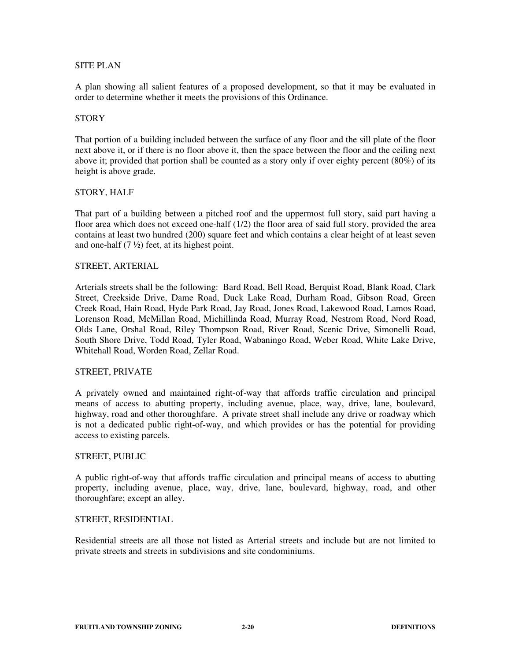## SITE PLAN

A plan showing all salient features of a proposed development, so that it may be evaluated in order to determine whether it meets the provisions of this Ordinance.

## **STORY**

That portion of a building included between the surface of any floor and the sill plate of the floor next above it, or if there is no floor above it, then the space between the floor and the ceiling next above it; provided that portion shall be counted as a story only if over eighty percent (80%) of its height is above grade.

## STORY, HALF

That part of a building between a pitched roof and the uppermost full story, said part having a floor area which does not exceed one-half (1/2) the floor area of said full story, provided the area contains at least two hundred (200) square feet and which contains a clear height of at least seven and one-half (7 ½) feet, at its highest point.

## STREET, ARTERIAL

Arterials streets shall be the following: Bard Road, Bell Road, Berquist Road, Blank Road, Clark Street, Creekside Drive, Dame Road, Duck Lake Road, Durham Road, Gibson Road, Green Creek Road, Hain Road, Hyde Park Road, Jay Road, Jones Road, Lakewood Road, Lamos Road, Lorenson Road, McMillan Road, Michillinda Road, Murray Road, Nestrom Road, Nord Road, Olds Lane, Orshal Road, Riley Thompson Road, River Road, Scenic Drive, Simonelli Road, South Shore Drive, Todd Road, Tyler Road, Wabaningo Road, Weber Road, White Lake Drive, Whitehall Road, Worden Road, Zellar Road.

## STREET, PRIVATE

A privately owned and maintained right-of-way that affords traffic circulation and principal means of access to abutting property, including avenue, place, way, drive, lane, boulevard, highway, road and other thoroughfare. A private street shall include any drive or roadway which is not a dedicated public right-of-way, and which provides or has the potential for providing access to existing parcels.

## STREET, PUBLIC

A public right-of-way that affords traffic circulation and principal means of access to abutting property, including avenue, place, way, drive, lane, boulevard, highway, road, and other thoroughfare; except an alley.

## STREET, RESIDENTIAL

Residential streets are all those not listed as Arterial streets and include but are not limited to private streets and streets in subdivisions and site condominiums.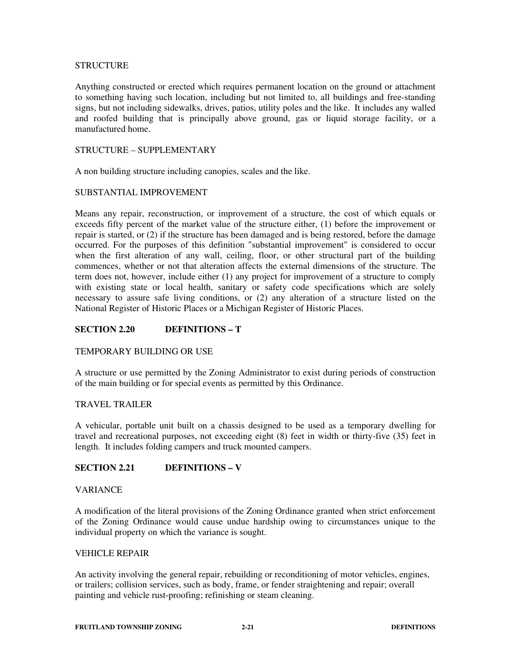## **STRUCTURE**

Anything constructed or erected which requires permanent location on the ground or attachment to something having such location, including but not limited to, all buildings and free-standing signs, but not including sidewalks, drives, patios, utility poles and the like. It includes any walled and roofed building that is principally above ground, gas or liquid storage facility, or a manufactured home.

# STRUCTURE – SUPPLEMENTARY

A non building structure including canopies, scales and the like.

## SUBSTANTIAL IMPROVEMENT

Means any repair, reconstruction, or improvement of a structure, the cost of which equals or exceeds fifty percent of the market value of the structure either, (1) before the improvement or repair is started, or (2) if the structure has been damaged and is being restored, before the damage occurred. For the purposes of this definition "substantial improvement" is considered to occur when the first alteration of any wall, ceiling, floor, or other structural part of the building commences, whether or not that alteration affects the external dimensions of the structure. The term does not, however, include either (1) any project for improvement of a structure to comply with existing state or local health, sanitary or safety code specifications which are solely necessary to assure safe living conditions, or (2) any alteration of a structure listed on the National Register of Historic Places or a Michigan Register of Historic Places.

# **SECTION 2.20 DEFINITIONS – T**

## TEMPORARY BUILDING OR USE

A structure or use permitted by the Zoning Administrator to exist during periods of construction of the main building or for special events as permitted by this Ordinance.

# TRAVEL TRAILER

A vehicular, portable unit built on a chassis designed to be used as a temporary dwelling for travel and recreational purposes, not exceeding eight (8) feet in width or thirty-five (35) feet in length. It includes folding campers and truck mounted campers.

# **SECTION 2.21 DEFINITIONS – V**

## **VARIANCE**

A modification of the literal provisions of the Zoning Ordinance granted when strict enforcement of the Zoning Ordinance would cause undue hardship owing to circumstances unique to the individual property on which the variance is sought.

## VEHICLE REPAIR

An activity involving the general repair, rebuilding or reconditioning of motor vehicles, engines, or trailers; collision services, such as body, frame, or fender straightening and repair; overall painting and vehicle rust-proofing; refinishing or steam cleaning.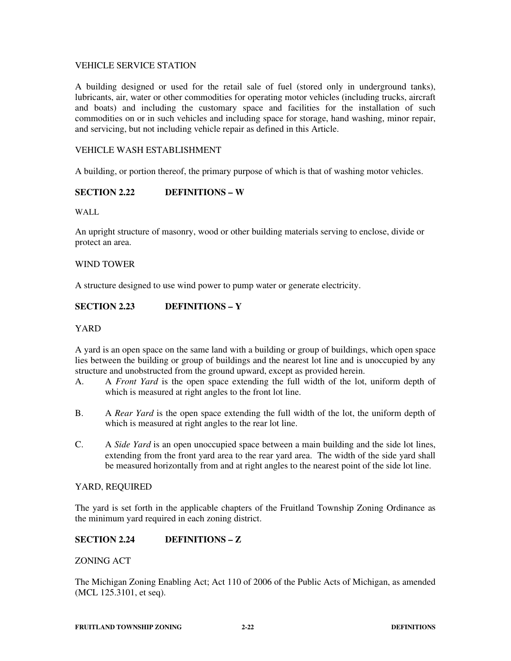## VEHICLE SERVICE STATION

A building designed or used for the retail sale of fuel (stored only in underground tanks), lubricants, air, water or other commodities for operating motor vehicles (including trucks, aircraft and boats) and including the customary space and facilities for the installation of such commodities on or in such vehicles and including space for storage, hand washing, minor repair, and servicing, but not including vehicle repair as defined in this Article.

# VEHICLE WASH ESTABLISHMENT

A building, or portion thereof, the primary purpose of which is that of washing motor vehicles.

# **SECTION 2.22 DEFINITIONS – W**

WALL

An upright structure of masonry, wood or other building materials serving to enclose, divide or protect an area.

## WIND TOWER

A structure designed to use wind power to pump water or generate electricity.

# **SECTION 2.23 DEFINITIONS – Y**

## YARD

A yard is an open space on the same land with a building or group of buildings, which open space lies between the building or group of buildings and the nearest lot line and is unoccupied by any structure and unobstructed from the ground upward, except as provided herein.

- A. A *Front Yard* is the open space extending the full width of the lot, uniform depth of which is measured at right angles to the front lot line.
- B. A *Rear Yard* is the open space extending the full width of the lot, the uniform depth of which is measured at right angles to the rear lot line.
- C. A *Side Yard* is an open unoccupied space between a main building and the side lot lines, extending from the front yard area to the rear yard area. The width of the side yard shall be measured horizontally from and at right angles to the nearest point of the side lot line.

## YARD, REQUIRED

The yard is set forth in the applicable chapters of the Fruitland Township Zoning Ordinance as the minimum yard required in each zoning district.

# **SECTION 2.24 DEFINITIONS – Z**

## ZONING ACT

The Michigan Zoning Enabling Act; Act 110 of 2006 of the Public Acts of Michigan, as amended (MCL 125.3101, et seq).